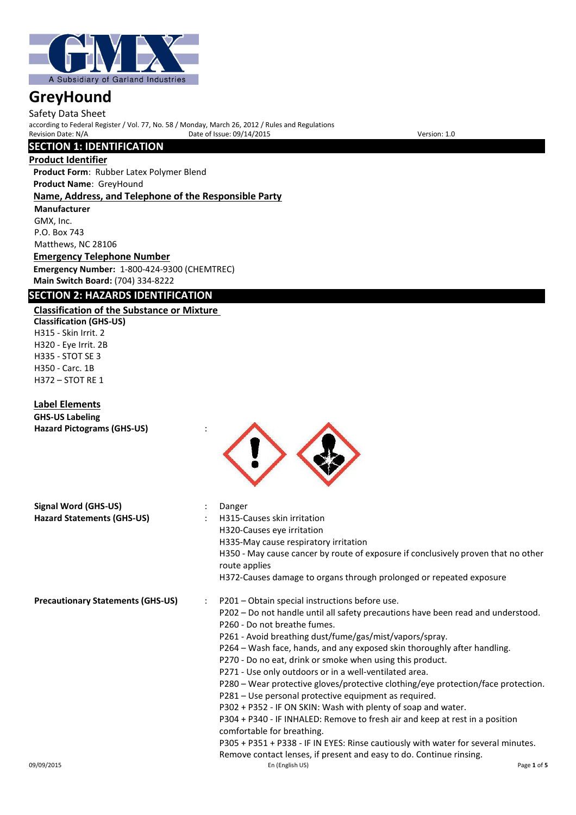

Safety Data Sheet according to Federal Register / Vol. 77, No. 58 / Monday, March 26, 2012 / Rules and Regulations Provide of Issue: 09/14/2015 Version: 1.0

# **SECTION 1: IDENTIFICATION**

## **Product Identifier**

**Product Form**: Rubber Latex Polymer Blend **Product Name**: GreyHound **Name, Address, and Telephone of the Responsible Party Manufacturer** GMX, Inc.

P.O. Box 743 Matthews, NC 28106

**Emergency Telephone Number Emergency Number:** 1-800-424-9300 (CHEMTREC) **Main Switch Board:** (704) 334-8222

# **SECTION 2: HAZARDS IDENTIFICATION**

## **Classification of the Substance or Mixture**

**Classification (GHS-US)** H315 - Skin Irrit. 2 H320 - Eye Irrit. 2B H335 - STOT SE 3 H350 - Carc. 1B H372 – STOT RE 1

## **Label Elements**

**GHS-US Labeling**

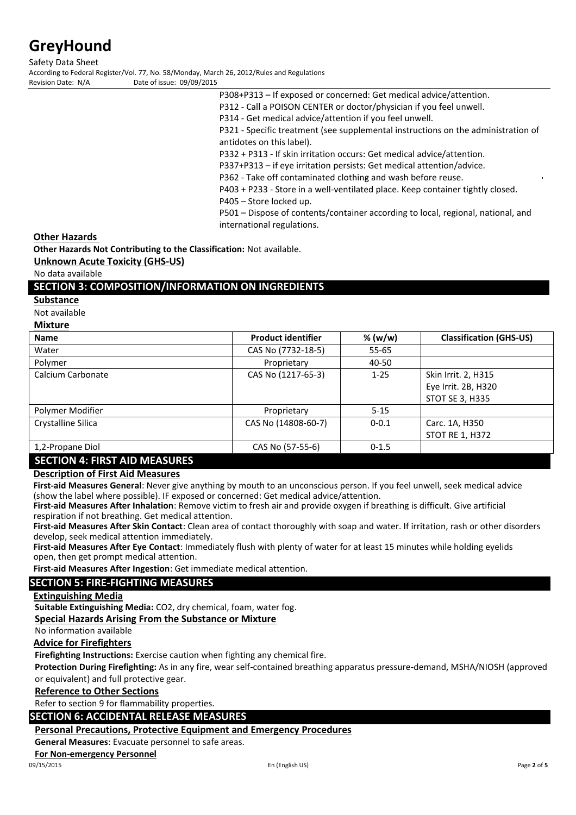Safety Data Sheet

According to Federal Register/Vol. 77, No. 58/Monday, March 26, 2012/Rules and Regulations<br>Revision Date: N/A<br>Date of issue: 09/09/2015 Date of issue: 09/09/2015

- P308+P313 If exposed or concerned: Get medical advice/attention.
- P312 Call a POISON CENTER or doctor/physician if you feel unwell.
- P314 Get medical advice/attention if you feel unwell.
- P321 Specific treatment (see supplemental instructions on the administration of antidotes on this label).
- P332 + P313 If skin irritation occurs: Get medical advice/attention.
- P337+P313 if eye irritation persists: Get medical attention/advice.

P362 - Take off contaminated clothing and wash before reuse.

P403 + P233 - Store in a well-ventilated place. Keep container tightly closed.

P405 – Store locked up.

P501 – Dispose of contents/container according to local, regional, national, and international regulations.

**Other Hazards** 

**Other Hazards Not Contributing to the Classification:** Not available.

**Unknown Acute Toxicity (GHS-US)**

No data available

# **SECTION 3: COMPOSITION/INFORMATION ON INGREDIENTS**

**Substance**

Not available

| Mixture |  |
|---------|--|
|         |  |

| <b>Name</b>                          | <b>Product identifier</b> | % (w/w)   | <b>Classification (GHS-US)</b> |
|--------------------------------------|---------------------------|-----------|--------------------------------|
| Water                                | CAS No (7732-18-5)        | $55 - 65$ |                                |
| Polymer                              | Proprietary               | 40-50     |                                |
| Calcium Carbonate                    | CAS No (1217-65-3)        | $1 - 25$  | Skin Irrit. 2, H315            |
|                                      |                           |           | Eye Irrit. 2B, H320            |
|                                      |                           |           | STOT SE 3, H335                |
| Polymer Modifier                     | Proprietary               | $5 - 15$  |                                |
| Crystalline Silica                   | CAS No (14808-60-7)       | $0 - 0.1$ | Carc. 1A, H350                 |
|                                      |                           |           | <b>STOT RE 1, H372</b>         |
| 1,2-Propane Diol                     | CAS No (57-55-6)          | $0 - 1.5$ |                                |
| <b>SECTION 4: FIRST AID MEASURES</b> |                           |           |                                |

# **Description of First Aid Measures**

**First-aid Measures General**: Never give anything by mouth to an unconscious person. If you feel unwell, seek medical advice (show the label where possible). IF exposed or concerned: Get medical advice/attention.

**First-aid Measures After Inhalation**: Remove victim to fresh air and provide oxygen if breathing is difficult. Give artificial respiration if not breathing. Get medical attention.

**First-aid Measures After Skin Contact**: Clean area of contact thoroughly with soap and water. If irritation, rash or other disorders develop, seek medical attention immediately.

**First-aid Measures After Eye Contact**: Immediately flush with plenty of water for at least 15 minutes while holding eyelids open, then get prompt medical attention.

**First-aid Measures After Ingestion**: Get immediate medical attention.

# **SECTION 5: FIRE-FIGHTING MEASURES**

#### **Extinguishing Media**

**Suitable Extinguishing Media:** CO2, dry chemical, foam, water fog.

**Special Hazards Arising From the Substance or Mixture**

No information available

# **Advice for Firefighters**

**Firefighting Instructions:** Exercise caution when fighting any chemical fire.

**Protection During Firefighting:** As in any fire, wear self-contained breathing apparatus pressure-demand, MSHA/NIOSH (approved or equivalent) and full protective gear.

## **Reference to Other Sections**

Refer to section 9 for flammability properties.

# **SECTION 6: ACCIDENTAL RELEASE MEASURES**

**Personal Precautions, Protective Equipment and Emergency Procedures**

**General Measures**: Evacuate personnel to safe areas.

#### **For Non-emergency Personnel**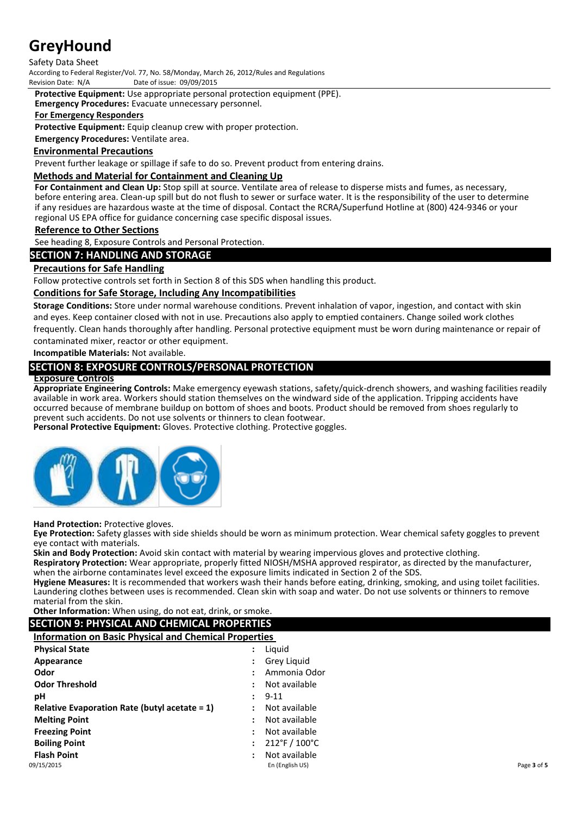# Safety Data Sheet

According to Federal Register/Vol. 77, No. 58/Monday, March 26, 2012/Rules and Regulations<br>Revision Date: N/A<br>Date of issue: 09/09/2015 Date of issue: 09/09/2015

**Protective Equipment:** Use appropriate personal protection equipment (PPE).

**Emergency Procedures:** Evacuate unnecessary personnel.

## **For Emergency Responders**

**Protective Equipment:** Equip cleanup crew with proper protection.

**Emergency Procedures:** Ventilate area.

## **Environmental Precautions**

Prevent further leakage or spillage if safe to do so. Prevent product from entering drains.

## **Methods and Material for Containment and Cleaning Up**

**For Containment and Clean Up:** Stop spill at source. Ventilate area of release to disperse mists and fumes, as necessary, before entering area. Clean-up spill but do not flush to sewer or surface water. It is the responsibility of the user to determine if any residues are hazardous waste at the time of disposal. Contact the RCRA/Superfund Hotline at (800) 424-9346 or your regional US EPA office for guidance concerning case specific disposal issues.

## **Reference to Other Sections**

See heading 8, Exposure Controls and Personal Protection.

# **SECTION 7: HANDLING AND STORAGE**

## **Precautions for Safe Handling**

Follow protective controls set forth in Section 8 of this SDS when handling this product.

## **Conditions for Safe Storage, Including Any Incompatibilities**

**Storage Conditions:** Store under normal warehouse conditions. Prevent inhalation of vapor, ingestion, and contact with skin and eyes. Keep container closed with not in use. Precautions also apply to emptied containers. Change soiled work clothes frequently. Clean hands thoroughly after handling. Personal protective equipment must be worn during maintenance or repair of contaminated mixer, reactor or other equipment.

**Incompatible Materials:** Not available.

# **SECTION 8: EXPOSURE CONTROLS/PERSONAL PROTECTION**

## **Exposure Controls**

**Appropriate Engineering Controls:** Make emergency eyewash stations, safety/quick-drench showers, and washing facilities readily available in work area. Workers should station themselves on the windward side of the application. Tripping accidents have occurred because of membrane buildup on bottom of shoes and boots. Product should be removed from shoes regularly to prevent such accidents. Do not use solvents or thinners to clean footwear.

**Personal Protective Equipment:** Gloves. Protective clothing. Protective goggles.



**Hand Protection:** Protective gloves.

**Eye Protection:** Safety glasses with side shields should be worn as minimum protection. Wear chemical safety goggles to prevent eye contact with materials.

**Skin and Body Protection:** Avoid skin contact with material by wearing impervious gloves and protective clothing.

**Respiratory Protection:** Wear appropriate, properly fitted NIOSH/MSHA approved respirator, as directed by the manufacturer, when the airborne contaminates level exceed the exposure limits indicated in Section 2 of the SDS.

**Hygiene Measures:** It is recommended that workers wash their hands before eating, drinking, smoking, and using toilet facilities. Laundering clothes between uses is recommended. Clean skin with soap and water. Do not use solvents or thinners to remove material from the skin.

#### **Other Information:** When using, do not eat, drink, or smoke. **SECTION 9: PHYSICAL AND CHEMICAL PROPERTIES**

# **Information on Basic Physical and Chemical Properties**

| <b>Physical State</b>                            | $\ddot{\cdot}$ | Liguid                            |             |
|--------------------------------------------------|----------------|-----------------------------------|-------------|
| Appearance                                       | :              | Grey Liquid                       |             |
| Odor                                             | ÷              | Ammonia Odor                      |             |
| <b>Odor Threshold</b>                            |                | Not available                     |             |
| pH                                               |                | 9-11                              |             |
| Relative Evaporation Rate (butyl acetate $= 1$ ) | ÷              | Not available                     |             |
| <b>Melting Point</b>                             | ٠              | Not available                     |             |
| <b>Freezing Point</b>                            |                | Not available                     |             |
| <b>Boiling Point</b>                             | $\ddot{\cdot}$ | $212^{\circ}$ F / $100^{\circ}$ C |             |
| <b>Flash Point</b>                               | ÷              | Not available                     |             |
| 09/15/2015                                       |                | En (English US)                   | Page 3 of 5 |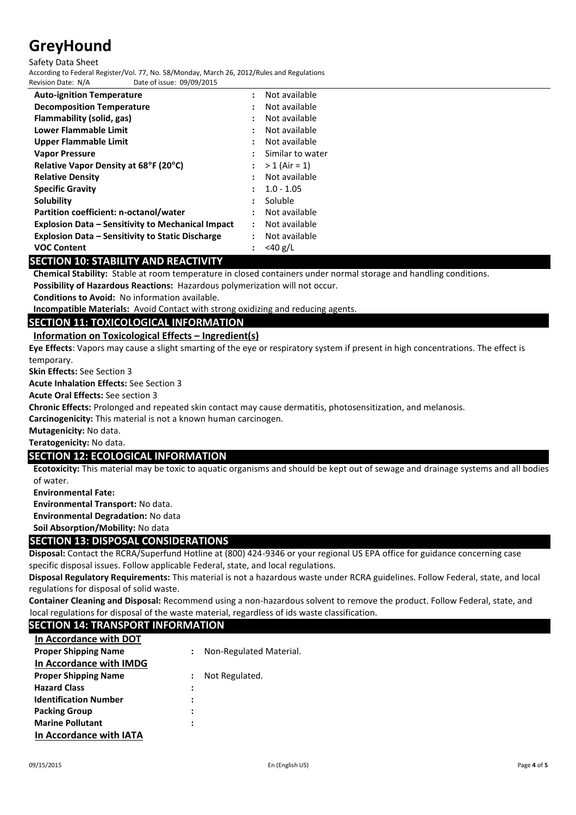#### Safety Data Sheet

According to Federal Register/Vol. 77, No. 58/Monday, March 26, 2012/Rules and Regulations Date of issue: 09/09/2015

| <b>Auto-ignition Temperature</b>                         | $\ddot{\phantom{a}}$ | Not available    |
|----------------------------------------------------------|----------------------|------------------|
| <b>Decomposition Temperature</b>                         |                      | Not available    |
| Flammability (solid, gas)                                |                      | Not available    |
| Lower Flammable Limit                                    |                      | Not available    |
| <b>Upper Flammable Limit</b>                             |                      | Not available    |
| <b>Vapor Pressure</b>                                    |                      | Similar to water |
| Relative Vapor Density at 68°F (20°C)                    |                      | $> 1$ (Air = 1)  |
| <b>Relative Density</b>                                  |                      | Not available    |
| <b>Specific Gravity</b>                                  |                      | $1.0 - 1.05$     |
| Solubility                                               |                      | <b>Soluble</b>   |
| Partition coefficient: n-octanol/water                   |                      | Not available    |
| <b>Explosion Data - Sensitivity to Mechanical Impact</b> | $\ddot{\phantom{a}}$ | Not available    |
| <b>Explosion Data – Sensitivity to Static Discharge</b>  |                      | Not available    |
| <b>VOC Content</b>                                       |                      | $<$ 40 g/L       |
| CECTION 40. CTADU ITV AND DEACTIVES                      |                      |                  |

# **SECTION 10: STABILITY AND REACTIVITY**

**Chemical Stability:** Stable at room temperature in closed containers under normal storage and handling conditions.

**Possibility of Hazardous Reactions:** Hazardous polymerization will not occur.

**Conditions to Avoid:** No information available.

**Incompatible Materials:** Avoid Contact with strong oxidizing and reducing agents.

# **SECTION 11: TOXICOLOGICAL INFORMATION**

# **Information on Toxicological Effects – Ingredient(s)**

**Eye Effects**: Vapors may cause a slight smarting of the eye or respiratory system if present in high concentrations. The effect is temporary.

**Skin Effects:** See Section 3

**Acute Inhalation Effects:** See Section 3

**Acute Oral Effects:** See section 3

**Chronic Effects:** Prolonged and repeated skin contact may cause dermatitis, photosensitization, and melanosis.

**Carcinogenicity:** This material is not a known human carcinogen.

**Mutagenicity:** No data.

**Teratogenicity:** No data.

# **SECTION 12: ECOLOGICAL INFORMATION**

**Ecotoxicity:** This material may be toxic to aquatic organisms and should be kept out of sewage and drainage systems and all bodies of water.

**Environmental Fate:**

**Environmental Transport:** No data.

**Environmental Degradation:** No data

**Soil Absorption/Mobility:** No data

## **SECTION 13: DISPOSAL CONSIDERATIONS**

**Disposal:** Contact the RCRA/Superfund Hotline at (800) 424-9346 or your regional US EPA office for guidance concerning case specific disposal issues. Follow applicable Federal, state, and local regulations.

**Disposal Regulatory Requirements:** This material is not a hazardous waste under RCRA guidelines. Follow Federal, state, and local regulations for disposal of solid waste.

**Container Cleaning and Disposal:** Recommend using a non-hazardous solvent to remove the product. Follow Federal, state, and local regulations for disposal of the waste material, regardless of ids waste classification.

# **SECTION 14: TRANSPORT INFORMATION**

| In Accordance with DOT       |                      |                         |
|------------------------------|----------------------|-------------------------|
| <b>Proper Shipping Name</b>  | $\ddot{\phantom{0}}$ | Non-Regulated Material. |
| In Accordance with IMDG      |                      |                         |
| <b>Proper Shipping Name</b>  |                      | Not Regulated.          |
| <b>Hazard Class</b>          | $\ddot{\cdot}$       |                         |
| <b>Identification Number</b> | :                    |                         |
| <b>Packing Group</b>         | :                    |                         |
| <b>Marine Pollutant</b>      |                      |                         |
| In Accordance with IATA      |                      |                         |